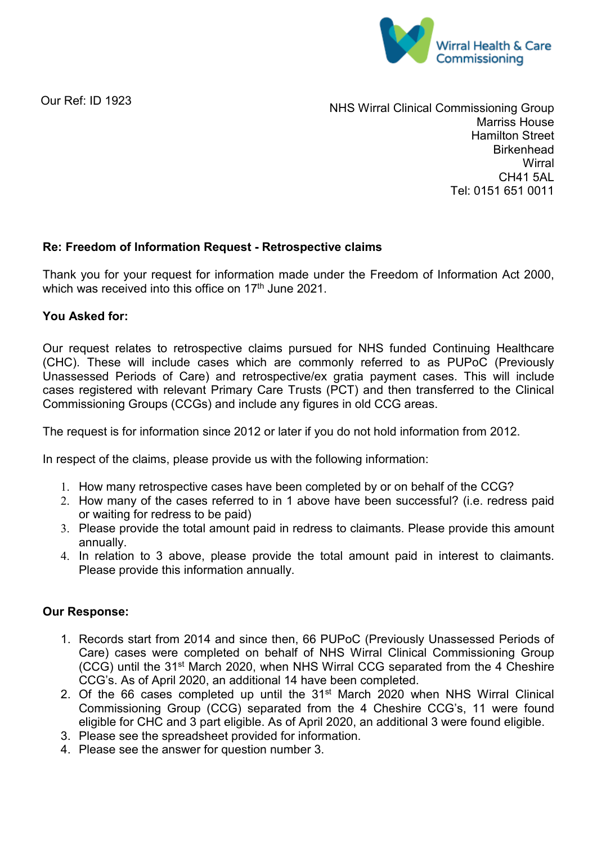

Our Ref: ID 1923

NHS Wirral Clinical Commissioning Group Marriss House Hamilton Street **Birkenhead Wirral** CH41 5AL Tel: 0151 651 0011

## **Re: Freedom of Information Request - Retrospective claims**

Thank you for your request for information made under the Freedom of Information Act 2000, which was received into this office on 17<sup>th</sup> June 2021.

## **You Asked for:**

Our request relates to retrospective claims pursued for NHS funded Continuing Healthcare (CHC). These will include cases which are commonly referred to as PUPoC (Previously Unassessed Periods of Care) and retrospective/ex gratia payment cases. This will include cases registered with relevant Primary Care Trusts (PCT) and then transferred to the Clinical Commissioning Groups (CCGs) and include any figures in old CCG areas.

The request is for information since 2012 or later if you do not hold information from 2012.

In respect of the claims, please provide us with the following information:

- 1. How many retrospective cases have been completed by or on behalf of the CCG?
- 2. How many of the cases referred to in 1 above have been successful? (i.e. redress paid or waiting for redress to be paid)
- 3. Please provide the total amount paid in redress to claimants. Please provide this amount annually.
- 4. In relation to 3 above, please provide the total amount paid in interest to claimants. Please provide this information annually.

## **Our Response:**

- 1. Records start from 2014 and since then, 66 PUPoC (Previously Unassessed Periods of Care) cases were completed on behalf of NHS Wirral Clinical Commissioning Group (CCG) until the 31st March 2020, when NHS Wirral CCG separated from the 4 Cheshire CCG's. As of April 2020, an additional 14 have been completed.
- 2. Of the 66 cases completed up until the 31<sup>st</sup> March 2020 when NHS Wirral Clinical Commissioning Group (CCG) separated from the 4 Cheshire CCG's, 11 were found eligible for CHC and 3 part eligible. As of April 2020, an additional 3 were found eligible.
- 3. Please see the spreadsheet provided for information.
- 4. Please see the answer for question number 3.